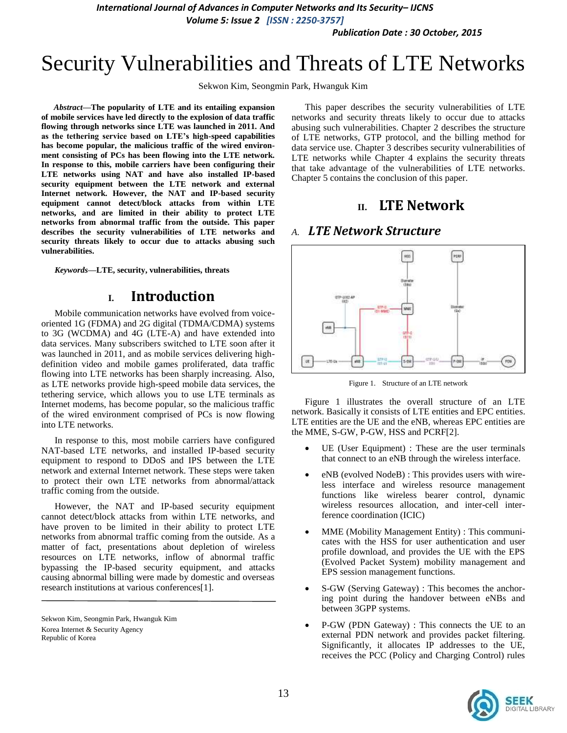*International Journal of Advances in Computer Networks and Its Security– IJCNS*

*Volume 5: Issue 2 [ISSN : 2250-3757]* 

*Publication Date : 30 October, 2015*

# Security Vulnerabilities and Threats of LTE Networks

Sekwon Kim, Seongmin Park, Hwanguk Kim

*Abstract***—The popularity of LTE and its entailing expansion of mobile services have led directly to the explosion of data traffic flowing through networks since LTE was launched in 2011. And as the tethering service based on LTE's high-speed capabilities has become popular, the malicious traffic of the wired environment consisting of PCs has been flowing into the LTE network. In response to this, mobile carriers have been configuring their LTE networks using NAT and have also installed IP-based security equipment between the LTE network and external Internet network. However, the NAT and IP-based security equipment cannot detect/block attacks from within LTE networks, and are limited in their ability to protect LTE networks from abnormal traffic from the outside. This paper describes the security vulnerabilities of LTE networks and security threats likely to occur due to attacks abusing such vulnerabilities.** 

*Keywords—***LTE, security, vulnerabilities, threats**

### **I. Introduction**

Mobile communication networks have evolved from voiceoriented 1G (FDMA) and 2G digital (TDMA/CDMA) systems to 3G (WCDMA) and 4G (LTE-A) and have extended into data services. Many subscribers switched to LTE soon after it was launched in 2011, and as mobile services delivering highdefinition video and mobile games proliferated, data traffic flowing into LTE networks has been sharply increasing. Also, as LTE networks provide high-speed mobile data services, the tethering service, which allows you to use LTE terminals as Internet modems, has become popular, so the malicious traffic of the wired environment comprised of PCs is now flowing into LTE networks.

In response to this, most mobile carriers have configured NAT-based LTE networks, and installed IP-based security equipment to respond to DDoS and IPS between the LTE network and external Internet network. These steps were taken to protect their own LTE networks from abnormal/attack traffic coming from the outside.

However, the NAT and IP-based security equipment cannot detect/block attacks from within LTE networks, and have proven to be limited in their ability to protect LTE networks from abnormal traffic coming from the outside. As a matter of fact, presentations about depletion of wireless resources on LTE networks, inflow of abnormal traffic bypassing the IP-based security equipment, and attacks causing abnormal billing were made by domestic and overseas research institutions at various conferences[1].

This paper describes the security vulnerabilities of LTE networks and security threats likely to occur due to attacks abusing such vulnerabilities. Chapter 2 describes the structure of LTE networks, GTP protocol, and the billing method for data service use. Chapter 3 describes security vulnerabilities of LTE networks while Chapter 4 explains the security threats that take advantage of the vulnerabilities of LTE networks. Chapter 5 contains the conclusion of this paper.

### **II. LTE Network**

### *A. LTE Network Structure*



Figure 1. Structure of an LTE network

Figure 1 illustrates the overall structure of an LTE network. Basically it consists of LTE entities and EPC entities. LTE entities are the UE and the eNB, whereas EPC entities are the MME, S-GW, P-GW, HSS and PCRF[2].

- UE (User Equipment) : These are the user terminals that connect to an eNB through the wireless interface.
- eNB (evolved NodeB) : This provides users with wireless interface and wireless resource management functions like wireless bearer control, dynamic wireless resources allocation, and inter-cell interference coordination (ICIC)
- MME (Mobility Management Entity) : This communicates with the HSS for user authentication and user profile download, and provides the UE with the EPS (Evolved Packet System) mobility management and EPS session management functions.
- S-GW (Serving Gateway) : This becomes the anchoring point during the handover between eNBs and between 3GPP systems.
- P-GW (PDN Gateway) : This connects the UE to an external PDN network and provides packet filtering. Significantly, it allocates IP addresses to the UE, receives the PCC (Policy and Charging Control) rules



Sekwon Kim, Seongmin Park, Hwanguk Kim Korea Internet & Security Agency Republic of Korea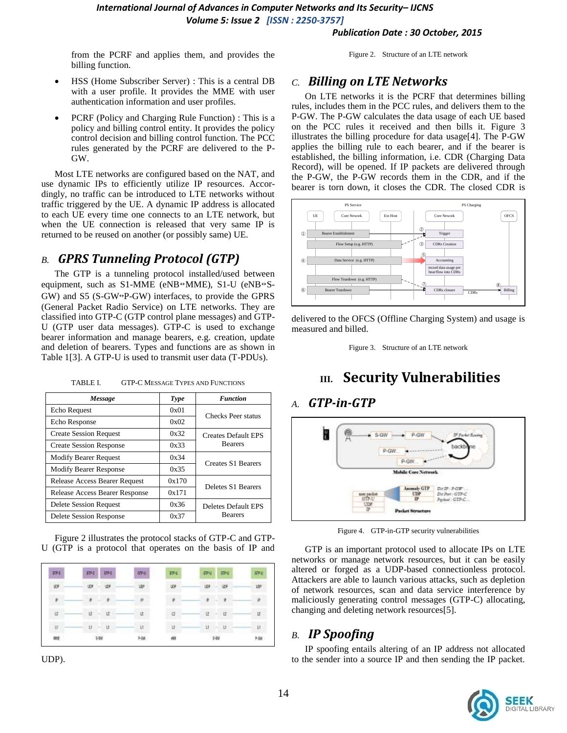*International Journal of Advances in Computer Networks and Its Security– IJCNS Volume 5: Issue 2 [ISSN : 2250-3757]* 

*Publication Date : 30 October, 2015*

from the PCRF and applies them, and provides the billing function.

Figure 2. Structure of an LTE network

- HSS (Home Subscriber Server) : This is a central DB with a user profile. It provides the MME with user authentication information and user profiles.
- PCRF (Policy and Charging Rule Function) : This is a policy and billing control entity. It provides the policy control decision and billing control function. The PCC rules generated by the PCRF are delivered to the P-GW.

Most LTE networks are configured based on the NAT, and use dynamic IPs to efficiently utilize IP resources. Accordingly, no traffic can be introduced to LTE networks without traffic triggered by the UE. A dynamic IP address is allocated to each UE every time one connects to an LTE network, but when the UE connection is released that very same IP is returned to be reused on another (or possibly same) UE.

### *B. GPRS Tunneling Protocol (GTP)*

The GTP is a tunneling protocol installed/used between equipment, such as S1-MME (eNB↔MME), S1-U (eNB↔S-GW) and S5 (S-GW↔P-GW) interfaces, to provide the GPRS (General Packet Radio Service) on LTE networks. They are classified into GTP-C (GTP control plane messages) and GTP-U (GTP user data messages). GTP-C is used to exchange bearer information and manage bearers, e.g. creation, update and deletion of bearers. Types and functions are as shown in Table 1[3]. A GTP-U is used to transmit user data (T-PDUs).

| Message                               | Type  | <b>Function</b>                              |  |
|---------------------------------------|-------|----------------------------------------------|--|
| Echo Request                          | 0x01  | Checks Peer status                           |  |
| Echo Response                         | 0x02  |                                              |  |
| <b>Create Session Request</b>         | 0x32  | <b>Creates Default EPS</b><br><b>Bearers</b> |  |
| <b>Create Session Response</b>        | 0x33  |                                              |  |
| <b>Modify Bearer Request</b>          | 0x34  | Creates S1 Bearers                           |  |
| <b>Modify Bearer Response</b>         | 0x35  |                                              |  |
| Release Access Bearer Request         | 0x170 | Deletes S1 Bearers                           |  |
| <b>Release Access Bearer Response</b> | 0x171 |                                              |  |
| Delete Session Request                | 0x36  | Deletes Default EPS                          |  |
| Delete Session Response               | 0x37  | <b>Bearers</b>                               |  |

TABLE I. GTP-C MESSAGE TYPES AND FUNCTIONS

Figure 2 illustrates the protocol stacks of GTP-C and GTP-U (GTP is a protocol that operates on the basis of IP and



UDP).

### *C. Billing on LTE Networks*

On LTE networks it is the PCRF that determines billing rules, includes them in the PCC rules, and delivers them to the P-GW. The P-GW calculates the data usage of each UE based on the PCC rules it received and then bills it. Figure 3 illustrates the billing procedure for data usage[4]. The P-GW applies the billing rule to each bearer, and if the bearer is established, the billing information, i.e. CDR (Charging Data Record), will be opened. If IP packets are delivered through the P-GW, the P-GW records them in the CDR, and if the bearer is torn down, it closes the CDR. The closed CDR is



delivered to the OFCS (Offline Charging System) and usage is measured and billed.



# **III. Security Vulnerabilities**

### *A. GTP-in-GTP*



Figure 4. GTP-in-GTP security vulnerabilities

GTP is an important protocol used to allocate IPs on LTE networks or manage network resources, but it can be easily altered or forged as a UDP-based connectionless protocol. Attackers are able to launch various attacks, such as depletion of network resources, scan and data service interference by maliciously generating control messages (GTP-C) allocating, changing and deleting network resources[5].

### *B. IP Spoofing*

IP spoofing entails altering of an IP address not allocated to the sender into a source IP and then sending the IP packet.

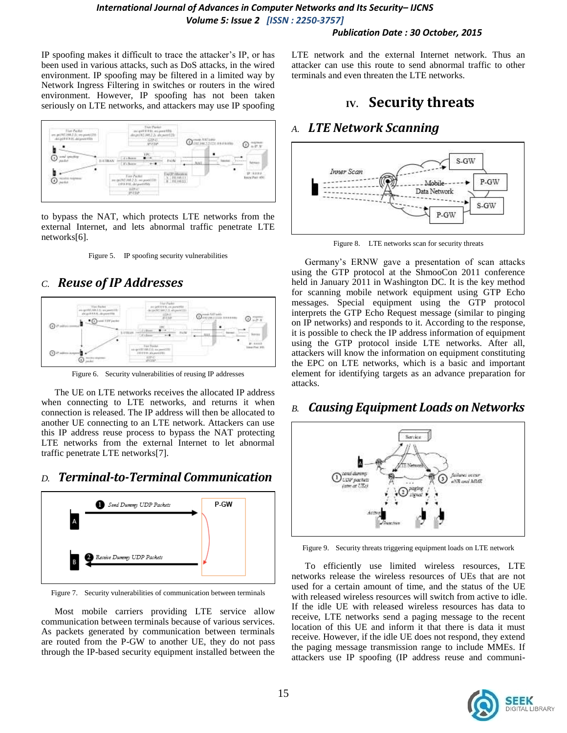#### *Publication Date : 30 October, 2015*

IP spoofing makes it difficult to trace the attacker's IP, or has been used in various attacks, such as DoS attacks, in the wired environment. IP spoofing may be filtered in a limited way by Network Ingress Filtering in switches or routers in the wired environment. However, IP spoofing has not been taken seriously on LTE networks, and attackers may use IP spoofing



to bypass the NAT, which protects LTE networks from the external Internet, and lets abnormal traffic penetrate LTE networks[6].



# *C. Reuse of IP Addresses*



Figure 6. Security vulnerabilities of reusing IP addresses

The UE on LTE networks receives the allocated IP address when connecting to LTE networks, and returns it when connection is released. The IP address will then be allocated to another UE connecting to an LTE network. Attackers can use this IP address reuse process to bypass the NAT protecting LTE networks from the external Internet to let abnormal traffic penetrate LTE networks[7].

# *D. Terminal-to-Terminal Communication*



Figure 7. Security vulnerabilities of communication between terminals

Most mobile carriers providing LTE service allow communication between terminals because of various services. As packets generated by communication between terminals are routed from the P-GW to another UE, they do not pass through the IP-based security equipment installed between the LTE network and the external Internet network. Thus an attacker can use this route to send abnormal traffic to other terminals and even threaten the LTE networks.

# **IV. Security threats**

## *A. LTE Network Scanning*



Figure 8. LTE networks scan for security threats

Germany's ERNW gave a presentation of scan attacks using the GTP protocol at the ShmooCon 2011 conference held in January 2011 in Washington DC. It is the key method for scanning mobile network equipment using GTP Echo messages. Special equipment using the GTP protocol interprets the GTP Echo Request message (similar to pinging on IP networks) and responds to it. According to the response, it is possible to check the IP address information of equipment using the GTP protocol inside LTE networks. After all, attackers will know the information on equipment constituting the EPC on LTE networks, which is a basic and important element for identifying targets as an advance preparation for attacks.

### *B. Causing Equipment Loads on Networks*



Figure 9. Security threats triggering equipment loads on LTE network

To efficiently use limited wireless resources, LTE networks release the wireless resources of UEs that are not used for a certain amount of time, and the status of the UE with released wireless resources will switch from active to idle. If the idle UE with released wireless resources has data to receive, LTE networks send a paging message to the recent location of this UE and inform it that there is data it must receive. However, if the idle UE does not respond, they extend the paging message transmission range to include MMEs. If attackers use IP spoofing (IP address reuse and communi-

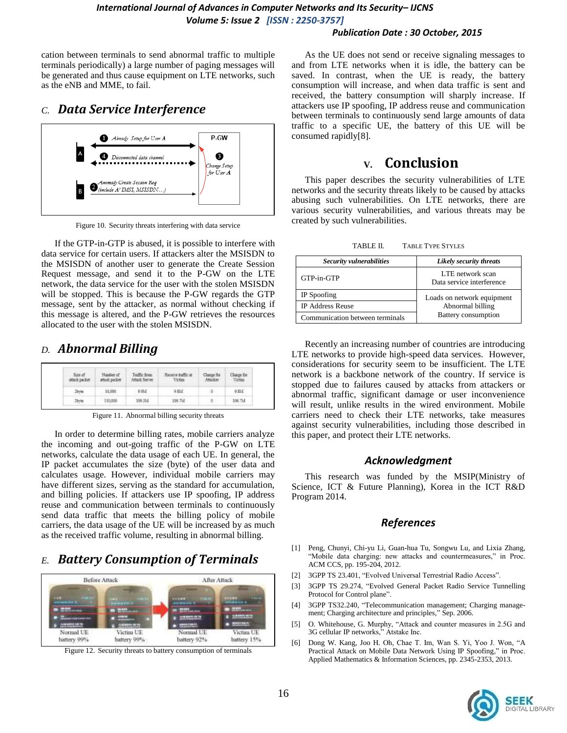#### *Publication Date : 30 October, 2015*

cation between terminals to send abnormal traffic to multiple terminals periodically) a large number of paging messages will be generated and thus cause equipment on LTE networks, such as the eNB and MME, to fail.

### *C. Data Service Interference*



Figure 10. Security threats interfering with data service

If the GTP-in-GTP is abused, it is possible to interfere with data service for certain users. If attackers alter the MSISDN to the MSISDN of another user to generate the Create Session Request message, and send it to the P-GW on the LTE network, the data service for the user with the stolen MSISDN will be stopped. This is because the P-GW regards the GTP message, sent by the attacker, as normal without checking if this message is altered, and the P-GW retrieves the resources allocated to the user with the stolen MSISDN.

### *D. Abnormal Billing*

| attack packer | Number of<br>attack packet. | Textle from<br><b>Anual Server</b> | mente traffic at<br>Victies | Classing Soc<br>Attacket | Surge fire |
|---------------|-----------------------------|------------------------------------|-----------------------------|--------------------------|------------|
|               | 10,000                      | 9:05.8                             | AM.                         |                          | 0.83.4     |
|               |                             | IDB 35.8                           |                             |                          |            |

Figure 11. Abnormal billing security threats

In order to determine billing rates, mobile carriers analyze the incoming and out-going traffic of the P-GW on LTE networks, calculate the data usage of each UE. In general, the IP packet accumulates the size (byte) of the user data and calculates usage. However, individual mobile carriers may have different sizes, serving as the standard for accumulation, and billing policies. If attackers use IP spoofing, IP address reuse and communication between terminals to continuously send data traffic that meets the billing policy of mobile carriers, the data usage of the UE will be increased by as much as the received traffic volume, resulting in abnormal billing.

# *E. Battery Consumption of Terminals*



Figure 12. Security threats to battery consumption of terminals

As the UE does not send or receive signaling messages to and from LTE networks when it is idle, the battery can be saved. In contrast, when the UE is ready, the battery consumption will increase, and when data traffic is sent and received, the battery consumption will sharply increase. If attackers use IP spoofing, IP address reuse and communication between terminals to continuously send large amounts of data traffic to a specific UE, the battery of this UE will be consumed rapidly[8].

## **V. Conclusion**

This paper describes the security vulnerabilities of LTE networks and the security threats likely to be caused by attacks abusing such vulnerabilities. On LTE networks, there are various security vulnerabilities, and various threats may be created by such vulnerabilities.

TABLE II. TABLE TYPE STYLES

| Security vulnerabilities        | Likely security threats                       |  |
|---------------------------------|-----------------------------------------------|--|
| GTP-in-GTP                      | LTE network scan<br>Data service interference |  |
| IP Spoofing                     | Loads on network equipment                    |  |
| <b>IP Address Reuse</b>         | Abnormal billing                              |  |
| Communication between terminals | Battery consumption                           |  |

Recently an increasing number of countries are introducing LTE networks to provide high-speed data services. However, considerations for security seem to be insufficient. The LTE network is a backbone network of the country. If service is stopped due to failures caused by attacks from attackers or abnormal traffic, significant damage or user inconvenience will result, unlike results in the wired environment. Mobile carriers need to check their LTE networks, take measures against security vulnerabilities, including those described in this paper, and protect their LTE networks.

### *Acknowledgment*

This research was funded by the MSIP(Ministry of Science, ICT & Future Planning), Korea in the ICT R&D Program 2014.

### *References*

- [1] Peng, Chunyi, Chi-yu Li, Guan-hua Tu, Songwu Lu, and Lixia Zhang, "Mobile data charging: new attacks and countermeasures," in Proc. ACM CCS, pp. 195-204, 2012.
- [2] 3GPP TS 23.401, "Evolved Universal Terrestrial Radio Access".
- [3] 3GPP TS 29.274, "Evolved General Packet Radio Service Tunnelling Protocol for Control plane".
- [4] 3GPP TS32.240, "Telecommunication management; Charging management; Charging architecture and principles," Sep. 2006.
- [5] O. Whitehouse, G. Murphy, "Attack and counter measures in 2.5G and 3G cellular IP networks," Atstake Inc.
- [6] Dong W. Kang, Joo H. Oh, Chae T. Im, Wan S. Yi, Yoo J. Won, "A Practical Attack on Mobile Data Network Using IP Spoofing," in Proc. Applied Mathematics & Information Sciences, pp. 2345-2353, 2013.